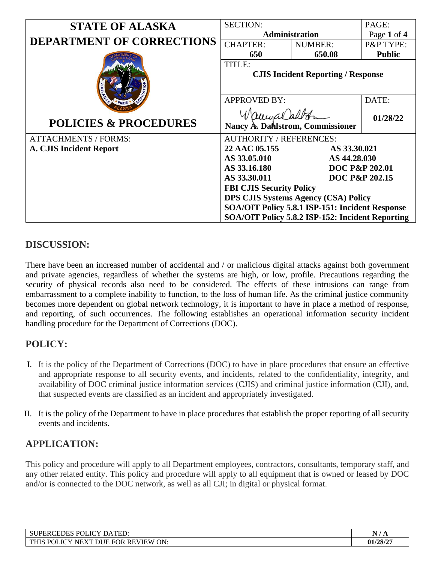| <b>STATE OF ALASKA</b>           | <b>SECTION:</b>                                     |                | PAGE:          |
|----------------------------------|-----------------------------------------------------|----------------|----------------|
|                                  | Administration                                      |                | Page 1 of 4    |
| <b>DEPARTMENT OF CORRECTIONS</b> | <b>CHAPTER:</b>                                     | <b>NUMBER:</b> | P&P TYPE:      |
|                                  | 650                                                 | 650.08         | <b>Public</b>  |
|                                  | TITLE:<br><b>CJIS Incident Reporting / Response</b> |                |                |
|                                  | <b>APPROVED BY:</b>                                 |                | DATE:          |
| <b>POLICIES &amp; PROCEDURES</b> | aumalalt<br>Nancy A. Dahlstrom, Commissioner        |                | 01/28/22       |
| <b>ATTACHMENTS / FORMS:</b>      | <b>AUTHORITY / REFERENCES:</b>                      |                |                |
| A. CJIS Incident Report          | 22 AAC 05.155<br>AS 33.30.021                       |                |                |
|                                  | AS 33.05.010<br>AS 44.28.030                        |                |                |
|                                  | AS 33.16.180<br><b>DOC P&amp;P 202.01</b>           |                |                |
|                                  | AS 33.30.011                                        |                | DOC P&P 202.15 |
|                                  | <b>FBI CJIS Security Policy</b>                     |                |                |
|                                  | <b>DPS CJIS Systems Agency (CSA) Policy</b>         |                |                |
|                                  | SOA/OIT Policy 5.8.1 ISP-151: Incident Response     |                |                |
|                                  | SOA/OIT Policy 5.8.2 ISP-152: Incident Reporting    |                |                |

# **DISCUSSION:**

There have been an increased number of accidental and / or malicious digital attacks against both government and private agencies, regardless of whether the systems are high, or low, profile. Precautions regarding the security of physical records also need to be considered. The effects of these intrusions can range from embarrassment to a complete inability to function, to the loss of human life. As the criminal justice community becomes more dependent on global network technology, it is important to have in place a method of response, and reporting, of such occurrences. The following establishes an operational information security incident handling procedure for the Department of Corrections (DOC).

# **POLICY:**

- I. It is the policy of the Department of Corrections (DOC) to have in place procedures that ensure an effective and appropriate response to all security events, and incidents, related to the confidentiality, integrity, and availability of DOC criminal justice information services (CJIS) and criminal justice information (CJI), and, that suspected events are classified as an incident and appropriately investigated.
- II. It is the policy of the Department to have in place procedures that establish the proper reporting of all security events and incidents.

# **APPLICATION:**

This policy and procedure will apply to all Department employees, contractors, consultants, temporary staff, and any other related entity. This policy and procedure will apply to all equipment that is owned or leased by DOC and/or is connected to the DOC network, as well as all CJI; in digital or physical format.

| POLICY DATED:<br><b>JPERCEDES</b>                                                                                 | Ð        |
|-------------------------------------------------------------------------------------------------------------------|----------|
| ON.<br><b>FOR</b><br><b>DOI</b><br><b>JCY</b><br>737T<br>. REVIEW<br>тик<br><b>DUE</b><br>NE.<br>,,,<br>$\lambda$ | 01/28/27 |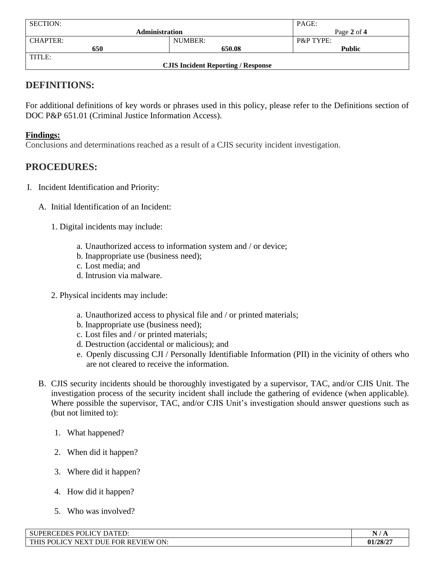| <b>SECTION:</b>                           |         | PAGE:                |
|-------------------------------------------|---------|----------------------|
| <b>Administration</b>                     |         | Page 2 of 4          |
| <b>CHAPTER:</b>                           | NUMBER: | <b>P&amp;P TYPE:</b> |
| 650                                       | 650.08  | <b>Public</b>        |
| TITLE:                                    |         |                      |
| <b>CJIS Incident Reporting / Response</b> |         |                      |

### **DEFINITIONS:**

For additional definitions of key words or phrases used in this policy, please refer to the Definitions section of DOC P&P 651.01 (Criminal Justice Information Access).

### **Findings:**

Conclusions and determinations reached as a result of a CJIS security incident investigation.

### **PROCEDURES:**

- I. Incident Identification and Priority:
	- A. Initial Identification of an Incident:
		- 1. Digital incidents may include:
			- a. Unauthorized access to information system and / or device;
			- b. Inappropriate use (business need);
			- c. Lost media; and
			- d. Intrusion via malware.
		- 2. Physical incidents may include:
			- a. Unauthorized access to physical file and / or printed materials;
			- b. Inappropriate use (business need);
			- c. Lost files and / or printed materials;
			- d. Destruction (accidental or malicious); and
			- e. Openly discussing CJI / Personally Identifiable Information (PII) in the vicinity of others who are not cleared to receive the information.
	- B. CJIS security incidents should be thoroughly investigated by a supervisor, TAC, and/or CJIS Unit. The investigation process of the security incident shall include the gathering of evidence (when applicable). Where possible the supervisor, TAC, and/or CJIS Unit's investigation should answer questions such as (but not limited to):
		- 1. What happened?
		- 2. When did it happen?
		- 3. Where did it happen?
		- 4. How did it happen?
		- 5. Who was involved?

| $D\cap I$<br>T(TV)<br>$\sim$ mm $\sim$<br>$\sqrt{1}$<br>- CT<br>DA <sub>1</sub><br><b>PERCEDES</b> .<br>ED: | $\bullet$ $\bullet$<br><b>D</b> |
|-------------------------------------------------------------------------------------------------------------|---------------------------------|
| <b>POI</b><br>ON:<br><b>THIS</b><br><b>DHE</b><br><b>REVIEW</b><br>.ICY<br><b>FOR</b><br>YТ<br>NE.          | 01/28/2                         |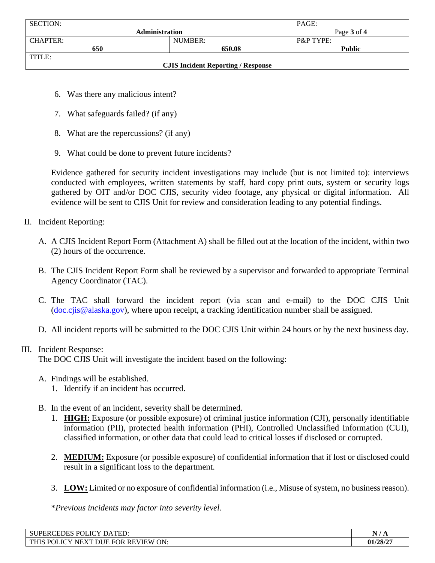| <b>SECTION:</b>                           |         | PAGE:                |  |
|-------------------------------------------|---------|----------------------|--|
| <b>Administration</b>                     |         | Page 3 of 4          |  |
| <b>CHAPTER:</b>                           | NUMBER: | <b>P&amp;P TYPE:</b> |  |
| 650                                       | 650.08  | <b>Public</b>        |  |
| TITLE:                                    |         |                      |  |
| <b>CJIS Incident Reporting / Response</b> |         |                      |  |

- 6. Was there any malicious intent?
- 7. What safeguards failed? (if any)
- 8. What are the repercussions? (if any)
- 9. What could be done to prevent future incidents?

Evidence gathered for security incident investigations may include (but is not limited to): interviews conducted with employees, written statements by staff, hard copy print outs, system or security logs gathered by OIT and/or DOC CJIS, security video footage, any physical or digital information. All evidence will be sent to CJIS Unit for review and consideration leading to any potential findings.

- II. Incident Reporting:
	- A. A CJIS Incident Report Form (Attachment A) shall be filled out at the location of the incident, within two (2) hours of the occurrence.
	- B. The CJIS Incident Report Form shall be reviewed by a supervisor and forwarded to appropriate Terminal Agency Coordinator (TAC).
	- C. The TAC shall forward the incident report (via scan and e-mail) to the DOC CJIS Unit [\(doc.cjis@alaska.gov\)](mailto:doc.cjis@alaska.gov), where upon receipt, a tracking identification number shall be assigned.
	- D. All incident reports will be submitted to the DOC CJIS Unit within 24 hours or by the next business day.

#### III. Incident Response:

The DOC CJIS Unit will investigate the incident based on the following:

- A. Findings will be established.
	- 1. Identify if an incident has occurred.
- B. In the event of an incident, severity shall be determined.
	- 1. **HIGH:** Exposure (or possible exposure) of criminal justice information (CJI), personally identifiable information (PII), protected health information (PHI), Controlled Unclassified Information (CUI), classified information, or other data that could lead to critical losses if disclosed or corrupted.
	- 2. **MEDIUM:** Exposure (or possible exposure) of confidential information that if lost or disclosed could result in a significant loss to the department.
	- 3. **LOW:** Limited or no exposure of confidential information (i.e., Misuse of system, no business reason).

\**Previous incidents may factor into severity level.*

| POLICY DATED:<br><b>SUPE</b><br><b>PERCEDES</b>                                                          | $\overline{\phantom{a}}$<br>- - - |
|----------------------------------------------------------------------------------------------------------|-----------------------------------|
| <b>'OLICY</b><br><b>REVIEW ON:</b><br>DUE FOR<br><b>THIS</b><br>$P\cap I$<br>. VT<br>$^{\circ}$ NEX $_1$ | 01/28/2                           |